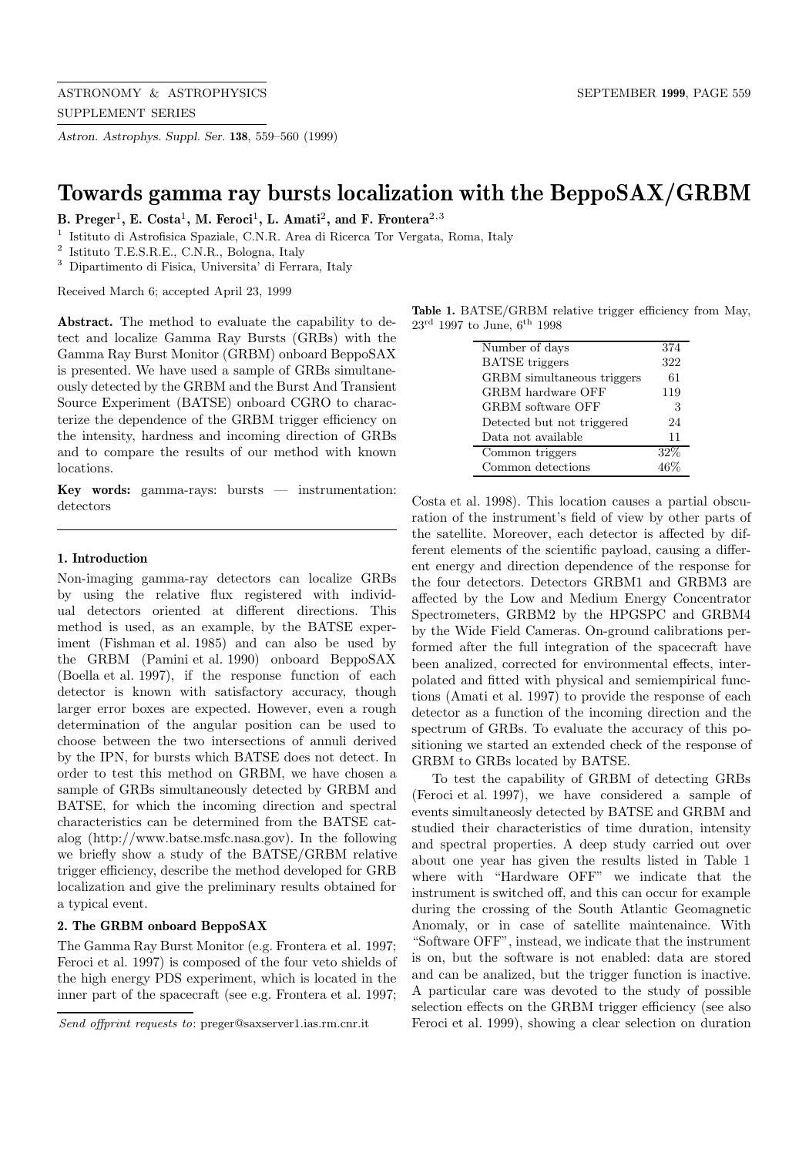ASTRONOMY & ASTROPHYSICS SEPTEMBER **1999**, PAGE 559 SUPPLEMENT SERIES

*Astron. Astrophys. Suppl. Ser.* **138**, 559–560 (1999)

# **Towards gamma ray bursts localization with the BeppoSAX/GRBM**

**B. Preger**<sup>1</sup>**, E. Costa**<sup>1</sup>**, M. Feroci**<sup>1</sup>**, L. Amati**<sup>2</sup>**, and F. Frontera**<sup>2</sup>,<sup>3</sup>

<sup>1</sup> Istituto di Astrofisica Spaziale, C.N.R. Area di Ricerca Tor Vergata, Roma, Italy

<sup>2</sup> Istituto T.E.S.R.E., C.N.R., Bologna, Italy

<sup>3</sup> Dipartimento di Fisica, Universita' di Ferrara, Italy

Received March 6; accepted April 23, 1999

**Abstract.** The method to evaluate the capability to detect and localize Gamma Ray Bursts (GRBs) with the Gamma Ray Burst Monitor (GRBM) onboard BeppoSAX is presented. We have used a sample of GRBs simultaneously detected by the GRBM and the Burst And Transient Source Experiment (BATSE) onboard CGRO to characterize the dependence of the GRBM trigger efficiency on the intensity, hardness and incoming direction of GRBs and to compare the results of our method with known locations.

**Key words:** gamma-rays: bursts — instrumentation: detectors

### **1. Introduction**

Non-imaging gamma-ray detectors can localize GRBs by using the relative flux registered with individual detectors oriented at different directions. This method is used, as an example, by the BATSE experiment (Fishman et al. 1985) and can also be used by the GRBM (Pamini et al. 1990) onboard BeppoSAX (Boella et al. 1997), if the response function of each detector is known with satisfactory accuracy, though larger error boxes are expected. However, even a rough determination of the angular position can be used to choose between the two intersections of annuli derived by the IPN, for bursts which BATSE does not detect. In order to test this method on GRBM, we have chosen a sample of GRBs simultaneously detected by GRBM and BATSE, for which the incoming direction and spectral characteristics can be determined from the BATSE catalog (http://www.batse.msfc.nasa.gov). In the following we briefly show a study of the BATSE/GRBM relative trigger efficiency, describe the method developed for GRB localization and give the preliminary results obtained for a typical event.

## **2. The GRBM onboard BeppoSAX**

The Gamma Ray Burst Monitor (e.g. Frontera et al. 1997; Feroci et al. 1997) is composed of the four veto shields of the high energy PDS experiment, which is located in the inner part of the spacecraft (see e.g. Frontera et al. 1997;

**Table 1.** BATSE/GRBM relative trigger efficiency from May,  $23^{\text{rd}}$  1997 to June,  $6^{\text{th}}$  1998

| Number of days             | 374 |
|----------------------------|-----|
| <b>BATSE</b> triggers      | 322 |
| GRBM simultaneous triggers | 61  |
| GRBM hardware OFF          | 119 |
| GRBM software OFF          | 3   |
| Detected but not triggered | 24  |
| Data not available         | 11  |
| Common triggers            | 32% |
| Common detections          |     |
|                            |     |

Costa et al. 1998). This location causes a partial obscuration of the instrument's field of view by other parts of the satellite. Moreover, each detector is affected by different elements of the scientific payload, causing a different energy and direction dependence of the response for the four detectors. Detectors GRBM1 and GRBM3 are affected by the Low and Medium Energy Concentrator Spectrometers, GRBM2 by the HPGSPC and GRBM4 by the Wide Field Cameras. On-ground calibrations performed after the full integration of the spacecraft have been analized, corrected for environmental effects, interpolated and fitted with physical and semiempirical functions (Amati et al. 1997) to provide the response of each detector as a function of the incoming direction and the spectrum of GRBs. To evaluate the accuracy of this positioning we started an extended check of the response of GRBM to GRBs located by BATSE.

To test the capability of GRBM of detecting GRBs (Feroci et al. 1997), we have considered a sample of events simultaneosly detected by BATSE and GRBM and studied their characteristics of time duration, intensity and spectral properties. A deep study carried out over about one year has given the results listed in Table 1 where with "Hardware OFF" we indicate that the instrument is switched off, and this can occur for example during the crossing of the South Atlantic Geomagnetic Anomaly, or in case of satellite maintenaince. With "Software OFF", instead, we indicate that the instrument is on, but the software is not enabled: data are stored and can be analized, but the trigger function is inactive. A particular care was devoted to the study of possible selection effects on the GRBM trigger efficiency (see also Feroci et al. 1999), showing a clear selection on duration

Send offprint requests to: preger@saxserver1.ias.rm.cnr.it